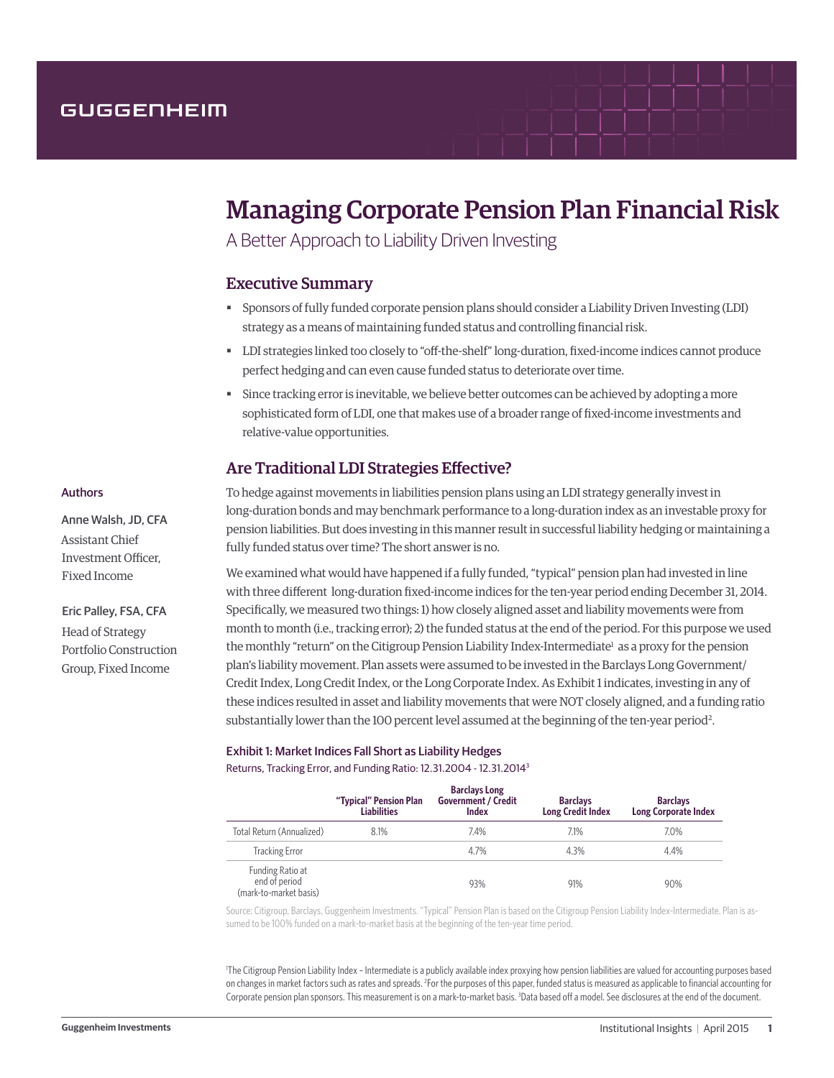# GUGGENHEIM

# Managing Corporate Pension Plan Financial Risk

A Better Approach to Liability Driven Investing

# Executive Summary

- § Sponsors of fully funded corporate pension plans should consider a Liability Driven Investing (LDI) strategy as a means of maintaining funded status and controlling financial risk.
- § LDI strategies linked too closely to "off-the-shelf" long-duration, fixed-income indices cannot produce perfect hedging and can even cause funded status to deteriorate over time.
- Since tracking error is inevitable, we believe better outcomes can be achieved by adopting a more sophisticated form of LDI, one that makes use of a broader range of fixed-income investments and relative-value opportunities.

# Are Traditional LDI Strategies Effective?

To hedge against movements in liabilities pension plans using an LDI strategy generally invest in long-duration bonds and may benchmark performance to a long-duration index as an investable proxy for pension liabilities. But does investing in this manner result in successful liability hedging or maintaining a fully funded status over time? The short answer is no.

We examined what would have happened if a fully funded, "typical" pension plan had invested in line with three different long-duration fixed-income indices for the ten-year period ending December 31, 2014. Specifically, we measured two things: 1) how closely aligned asset and liability movements were from month to month (i.e., tracking error); 2) the funded status at the end of the period. For this purpose we used the monthly "return" on the Citigroup Pension Liability Index-Intermediate<sup>1</sup> as a proxy for the pension plan's liability movement. Plan assets were assumed to be invested in the Barclays Long Government/ Credit Index, Long Credit Index, or the Long Corporate Index. As Exhibit 1 indicates, investing in any of these indices resulted in asset and liability movements that were NOT closely aligned, and a funding ratio substantially lower than the 100 percent level assumed at the beginning of the ten-year period<sup>2</sup>.

#### Exhibit 1: Market Indices Fall Short as Liability Hedges

Returns, Tracking Error, and Funding Ratio: 12.31.2004 - 12.31.20143

|                                                             | "Typical" Pension Plan<br><b>Liabilities</b> | <b>Barclays Long</b><br><b>Government / Credit</b><br><b>Index</b> | <b>Barclays</b><br><b>Long Credit Index</b> | <b>Barclays</b><br><b>Long Corporate Index</b> |
|-------------------------------------------------------------|----------------------------------------------|--------------------------------------------------------------------|---------------------------------------------|------------------------------------------------|
| Total Return (Annualized)                                   | 8.1%                                         | 7.4%                                                               | 7.1%                                        | 7.0%                                           |
| <b>Tracking Error</b>                                       |                                              | 4.7%                                                               | 4.3%                                        | 4.4%                                           |
| Funding Ratio at<br>end of period<br>(mark-to-market basis) |                                              | 93%                                                                | 91%                                         | 90%                                            |

Source: Citigroup, Barclays, Guggenheim Investments. "Typical" Pension Plan is based on the Citigroup Pension Liability Index-Intermediate. Plan is assumed to be 100% funded on a mark-to-market basis at the beginning of the ten-year time period.

1 The Citigroup Pension Liability Index – Intermediate is a publicly available index proxying how pension liabilities are valued for accounting purposes based on changes in market factors such as rates and spreads. <sup>2</sup>For the purposes of this paper, funded status is measured as applicable to financial accounting for Corporate pension plan sponsors. This measurement is on a mark-to-market basis. <sup>3</sup>Data based off a model. See disclosures at the end of the document.

#### Authors

Anne Walsh, JD, CFA Assistant Chief Investment Officer, Fixed Income

Eric Palley, FSA, CFA Head of Strategy Portfolio Construction Group, Fixed Income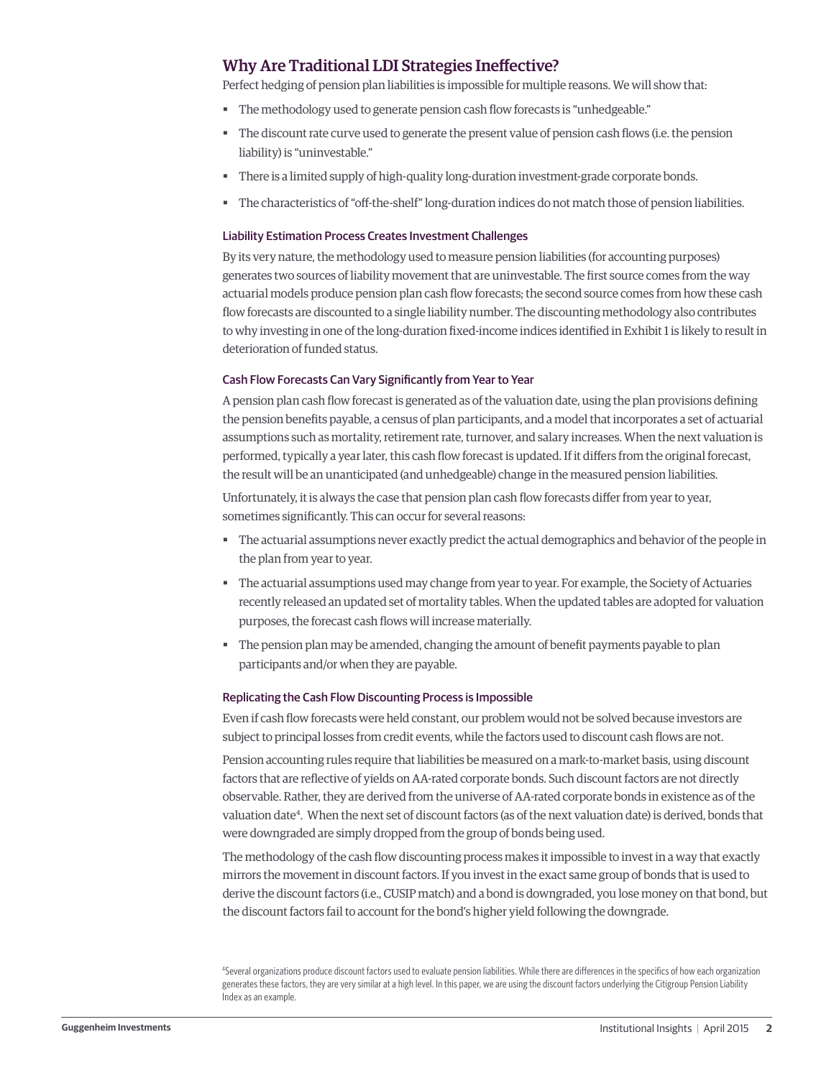# Why Are Traditional LDI Strategies Ineffective?

Perfect hedging of pension plan liabilities is impossible for multiple reasons. We will show that:

- The methodology used to generate pension cash flow forecasts is "unhedgeable."
- The discount rate curve used to generate the present value of pension cash flows (i.e. the pension liability) is "uninvestable."
- There is a limited supply of high-quality long-duration investment-grade corporate bonds.
- § The characteristics of "off-the-shelf" long-duration indices do not match those of pension liabilities.

#### Liability Estimation Process Creates Investment Challenges

By its very nature, the methodology used to measure pension liabilities (for accounting purposes) generates two sources of liability movement that are uninvestable. The first source comes from the way actuarial models produce pension plan cash flow forecasts; the second source comes from how these cash flow forecasts are discounted to a single liability number. The discounting methodology also contributes to why investing in one of the long-duration fixed-income indices identified in Exhibit 1 is likely to result in deterioration of funded status.

#### Cash Flow Forecasts Can Vary Significantly from Year to Year

A pension plan cash flow forecast is generated as of the valuation date, using the plan provisions defining the pension benefits payable, a census of plan participants, and a model that incorporates a set of actuarial assumptions such as mortality, retirement rate, turnover, and salary increases. When the next valuation is performed, typically a year later, this cash flow forecast is updated. If it differs from the original forecast, the result will be an unanticipated (and unhedgeable) change in the measured pension liabilities.

Unfortunately, it is always the case that pension plan cash flow forecasts differ from year to year, sometimes significantly. This can occur for several reasons:

- § The actuarial assumptions never exactly predict the actual demographics and behavior of the people in the plan from year to year.
- The actuarial assumptions used may change from year to year. For example, the Society of Actuaries recently released an updated set of mortality tables. When the updated tables are adopted for valuation purposes, the forecast cash flows will increase materially.
- The pension plan may be amended, changing the amount of benefit payments payable to plan participants and/or when they are payable.

#### Replicating the Cash Flow Discounting Process is Impossible

Even if cash flow forecasts were held constant, our problem would not be solved because investors are subject to principal losses from credit events, while the factors used to discount cash flows are not.

Pension accounting rules require that liabilities be measured on a mark-to-market basis, using discount factors that are reflective of yields on AA-rated corporate bonds. Such discount factors are not directly observable. Rather, they are derived from the universe of AA-rated corporate bonds in existence as of the valuation date<sup>4</sup>. When the next set of discount factors (as of the next valuation date) is derived, bonds that were downgraded are simply dropped from the group of bonds being used.

The methodology of the cash flow discounting process makes it impossible to invest in a way that exactly mirrors the movement in discount factors. If you invest in the exact same group of bonds that is used to derive the discount factors (i.e., CUSIP match) and a bond is downgraded, you lose money on that bond, but the discount factors fail to account for the bond's higher yield following the downgrade.

<sup>4</sup> Several organizations produce discount factors used to evaluate pension liabilities. While there are differences in the specifics of how each organization generates these factors, they are very similar at a high level. In this paper, we are using the discount factors underlying the Citigroup Pension Liability Index as an example.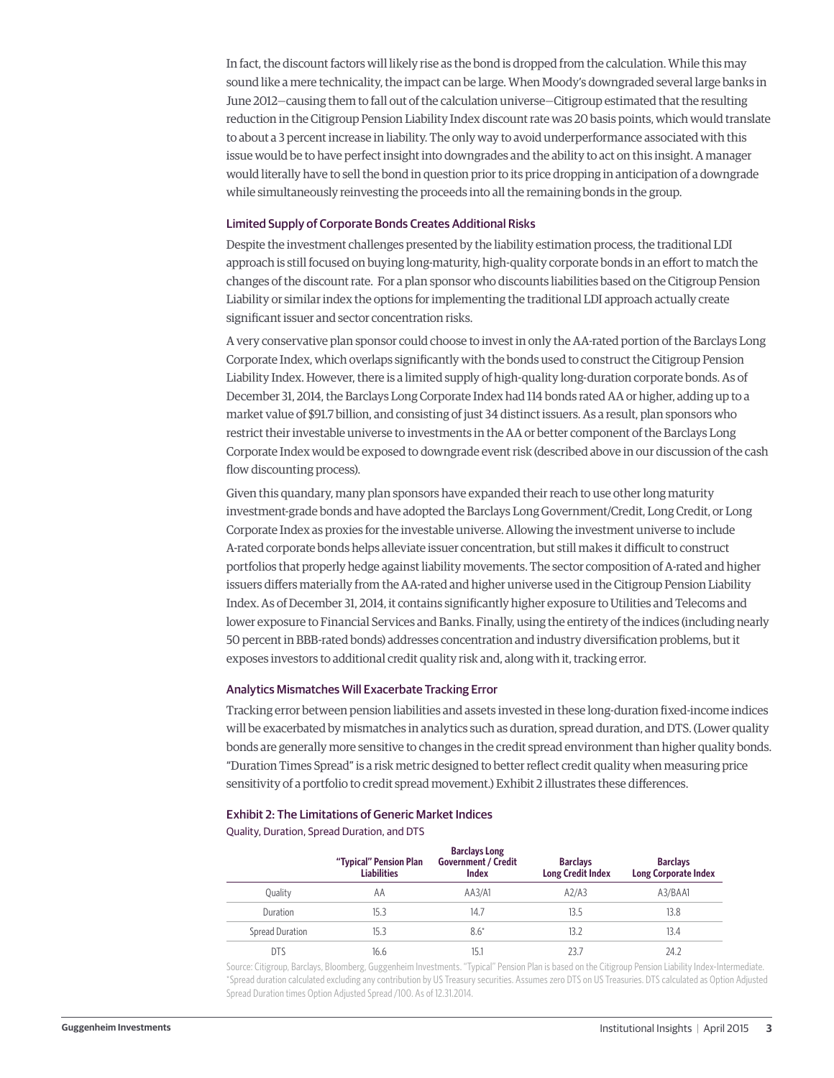In fact, the discount factors will likely rise as the bond is dropped from the calculation. While this may sound like a mere technicality, the impact can be large. When Moody's downgraded several large banks in June 2012—causing them to fall out of the calculation universe—Citigroup estimated that the resulting reduction in the Citigroup Pension Liability Index discount rate was 20 basis points, which would translate to about a 3 percent increase in liability. The only way to avoid underperformance associated with this issue would be to have perfect insight into downgrades and the ability to act on this insight. A manager would literally have to sell the bond in question prior to its price dropping in anticipation of a downgrade while simultaneously reinvesting the proceeds into all the remaining bonds in the group.

#### Limited Supply of Corporate Bonds Creates Additional Risks

Despite the investment challenges presented by the liability estimation process, the traditional LDI approach is still focused on buying long-maturity, high-quality corporate bonds in an effort to match the changes of the discount rate. For a plan sponsor who discounts liabilities based on the Citigroup Pension Liability or similar index the options for implementing the traditional LDI approach actually create significant issuer and sector concentration risks.

A very conservative plan sponsor could choose to invest in only the AA-rated portion of the Barclays Long Corporate Index, which overlaps significantly with the bonds used to construct the Citigroup Pension Liability Index. However, there is a limited supply of high-quality long-duration corporate bonds. As of December 31, 2014, the Barclays Long Corporate Index had 114 bonds rated AA or higher, adding up to a market value of \$91.7 billion, and consisting of just 34 distinct issuers. As a result, plan sponsors who restrict their investable universe to investments in the AA or better component of the Barclays Long Corporate Index would be exposed to downgrade event risk (described above in our discussion of the cash flow discounting process).

Given this quandary, many plan sponsors have expanded their reach to use other long maturity investment-grade bonds and have adopted the Barclays Long Government/Credit, Long Credit, or Long Corporate Index as proxies for the investable universe. Allowing the investment universe to include A-rated corporate bonds helps alleviate issuer concentration, but still makes it difficult to construct portfolios that properly hedge against liability movements. The sector composition of A-rated and higher issuers differs materially from the AA-rated and higher universe used in the Citigroup Pension Liability Index. As of December 31, 2014, it contains significantly higher exposure to Utilities and Telecoms and lower exposure to Financial Services and Banks. Finally, using the entirety of the indices (including nearly 50 percent in BBB-rated bonds) addresses concentration and industry diversification problems, but it exposes investors to additional credit quality risk and, along with it, tracking error.

#### Analytics Mismatches Will Exacerbate Tracking Error

Tracking error between pension liabilities and assets invested in these long-duration fixed-income indices will be exacerbated by mismatches in analytics such as duration, spread duration, and DTS. (Lower quality bonds are generally more sensitive to changes in the credit spread environment than higher quality bonds. "Duration Times Spread" is a risk metric designed to better reflect credit quality when measuring price sensitivity of a portfolio to credit spread movement.) Exhibit 2 illustrates these differences.

#### Exhibit 2: The Limitations of Generic Market Indices

Quality, Duration, Spread Duration, and DTS

|                 | "Typical" Pension Plan<br><b>Liabilities</b> | <b>Barclays Long</b><br><b>Government / Credit</b><br><b>Index</b> | <b>Barclays</b><br><b>Long Credit Index</b> | <b>Barclays</b><br><b>Long Corporate Index</b> |
|-----------------|----------------------------------------------|--------------------------------------------------------------------|---------------------------------------------|------------------------------------------------|
| Ouality         | AΑ                                           | AA3/A1                                                             | A2/A3                                       | A3/BAA1                                        |
| Duration        | 15.3                                         | 14.7                                                               | 13.5                                        | 13.8                                           |
| Spread Duration | 15.3                                         | $8.6*$                                                             | 13.2                                        | 13.4                                           |
| <b>DTS</b>      | 16.6                                         | 15.1                                                               | 23.7                                        | 24.2                                           |

Source: Citigroup, Barclays, Bloomberg, Guggenheim Investments. "Typical" Pension Plan is based on the Citigroup Pension Liability Index-Intermediate. \*Spread duration calculated excluding any contribution by US Treasury securities. Assumes zero DTS on US Treasuries. DTS calculated as Option Adjusted Spread Duration times Option Adjusted Spread /100. As of 12.31.2014.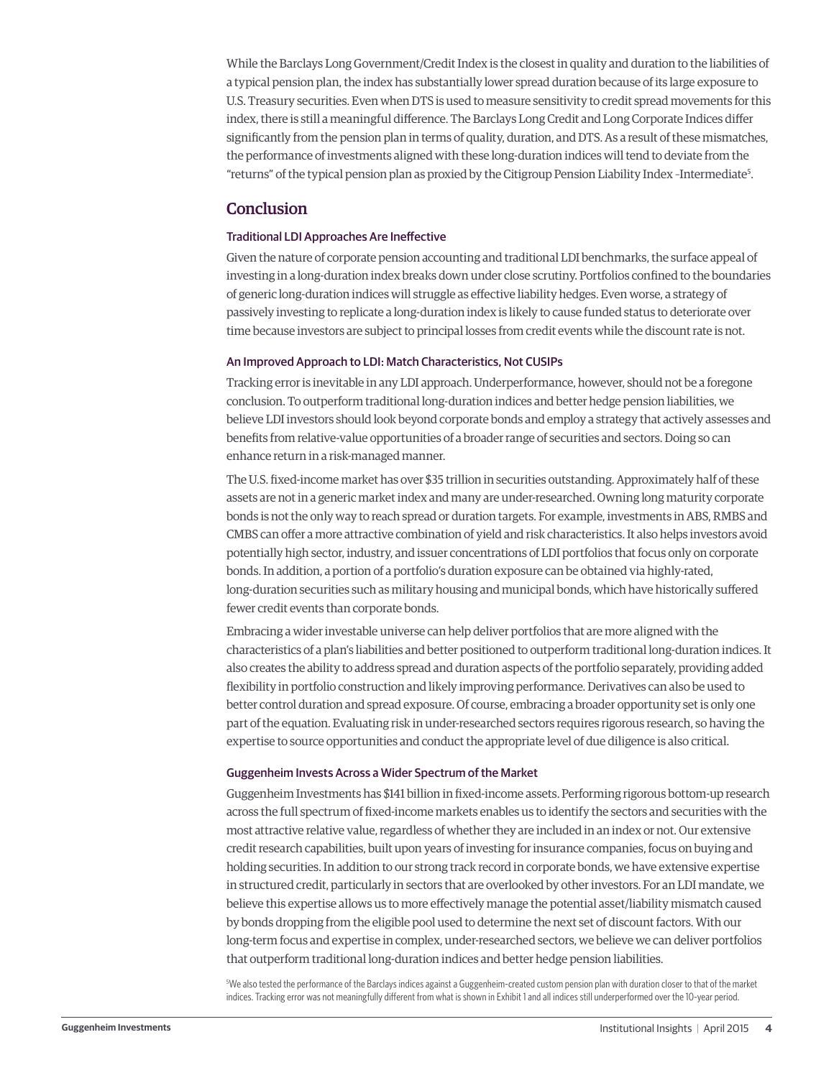While the Barclays Long Government/Credit Index is the closest in quality and duration to the liabilities of a typical pension plan, the index has substantially lower spread duration because of its large exposure to U.S. Treasury securities. Even when DTS is used to measure sensitivity to credit spread movements for this index, there is still a meaningful difference. The Barclays Long Credit and Long Corporate Indices differ significantly from the pension plan in terms of quality, duration, and DTS. As a result of these mismatches, the performance of investments aligned with these long-duration indices will tend to deviate from the "returns" of the typical pension plan as proxied by the Citigroup Pension Liability Index -Intermediate<sup>5</sup>.

### **Conclusion**

#### Traditional LDI Approaches Are Ineffective

Given the nature of corporate pension accounting and traditional LDI benchmarks, the surface appeal of investing in a long-duration index breaks down under close scrutiny. Portfolios confined to the boundaries of generic long-duration indices will struggle as effective liability hedges. Even worse, a strategy of passively investing to replicate a long-duration index is likely to cause funded status to deteriorate over time because investors are subject to principal losses from credit events while the discount rate is not.

#### An Improved Approach to LDI: Match Characteristics, Not CUSIPs

Tracking error is inevitable in any LDI approach. Underperformance, however, should not be a foregone conclusion. To outperform traditional long-duration indices and better hedge pension liabilities, we believe LDI investors should look beyond corporate bonds and employ a strategy that actively assesses and benefits from relative-value opportunities of a broader range of securities and sectors. Doing so can enhance return in a risk-managed manner.

The U.S. fixed-income market has over \$35 trillion in securities outstanding. Approximately half of these assets are not in a generic market index and many are under-researched. Owning long maturity corporate bonds is not the only way to reach spread or duration targets. For example, investments in ABS, RMBS and CMBS can offer a more attractive combination of yield and risk characteristics. It also helps investors avoid potentially high sector, industry, and issuer concentrations of LDI portfolios that focus only on corporate bonds. In addition, a portion of a portfolio's duration exposure can be obtained via highly-rated, long-duration securities such as military housing and municipal bonds, which have historically suffered fewer credit events than corporate bonds.

Embracing a wider investable universe can help deliver portfolios that are more aligned with the characteristics of a plan's liabilities and better positioned to outperform traditional long-duration indices. It also creates the ability to address spread and duration aspects of the portfolio separately, providing added flexibility in portfolio construction and likely improving performance. Derivatives can also be used to better control duration and spread exposure. Of course, embracing a broader opportunity set is only one part of the equation. Evaluating risk in under-researched sectors requires rigorous research, so having the expertise to source opportunities and conduct the appropriate level of due diligence is also critical.

#### Guggenheim Invests Across a Wider Spectrum of the Market

Guggenheim Investments has \$141 billion in fixed-income assets. Performing rigorous bottom-up research across the full spectrum of fixed-income markets enables us to identify the sectors and securities with the most attractive relative value, regardless of whether they are included in an index or not. Our extensive credit research capabilities, built upon years of investing for insurance companies, focus on buying and holding securities. In addition to our strong track record in corporate bonds, we have extensive expertise in structured credit, particularly in sectors that are overlooked by other investors. For an LDI mandate, we believe this expertise allows us to more effectively manage the potential asset/liability mismatch caused by bonds dropping from the eligible pool used to determine the next set of discount factors. With our long-term focus and expertise in complex, under-researched sectors, we believe we can deliver portfolios that outperform traditional long-duration indices and better hedge pension liabilities.

5 We also tested the performance of the Barclays indices against a Guggenheim-created custom pension plan with duration closer to that of the market indices. Tracking error was not meaningfully different from what is shown in Exhibit 1 and all indices still underperformed over the 10-year period.